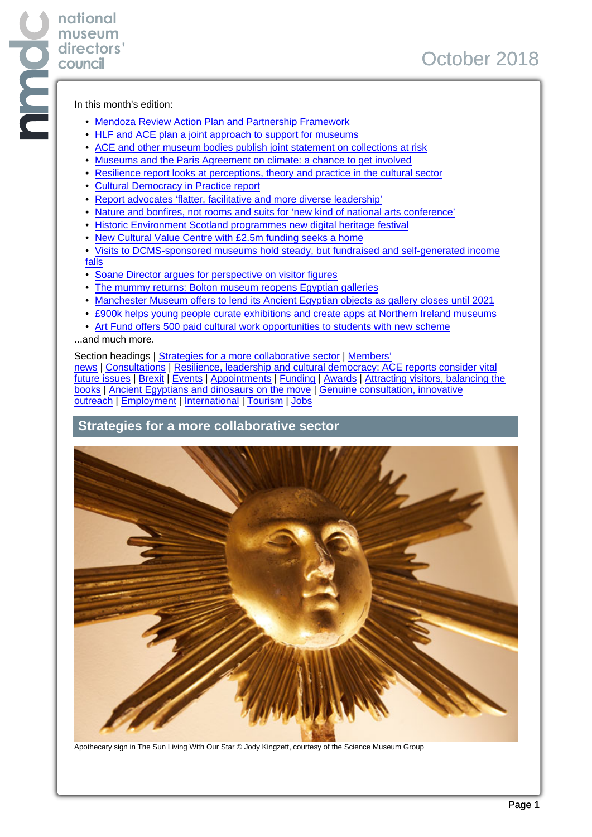In this month's edition:

**national museum directors' council**

- Mendoza Review Action Plan and Partnership Framework
- HLF and ACE plan a joint approach to support for museums
- ACE and other museum bodies publish joint statement on collections at risk
- Museums and the Paris Agreement on climate: a chance to get involved
- Resilience report looks at perceptions, theory and practice in the cultural sector
- Cultural Democracy in Practice report
- Report advocates 'flatter, facilitative and more diverse leadership'
- Nature and bonfires, not rooms and suits for 'new kind of national arts conference'
- Historic Environment Scotland programmes new digital heritage festival
- New Cultural Value Centre with £2.5m funding seeks a home
- Visits to DCMS-sponsored museums hold steady, but fundraised and self-generated income falls
- Soane Director argues for perspective on visitor figures
- The mummy returns: Bolton museum reopens Egyptian galleries
- Manchester Museum offers to lend its Ancient Egyptian objects as gallery closes until 2021
- £900k helps young people curate exhibitions and create apps at Northern Ireland museums
- Art Fund offers 500 paid cultural work opportunities to students with new scheme

...and much more.

Section headings | Strategies for a more collaborative sector | Members'

news | Consultations | Resilience, leadership and cultural democracy: ACE reports consider vital future issues | Brexit | Events | Appointments | Funding | Awards | Attracting visitors, balancing the books | Ancient Egyptians and dinosaurs on the move | Genuine consultation, innovative outreach | Employment | International | Tourism | Jobs

## **Strategies for a more collaborative sector**



Apothecary sign in The Sun Living With Our Star © Jody Kingzett, courtesy of the Science Museum Group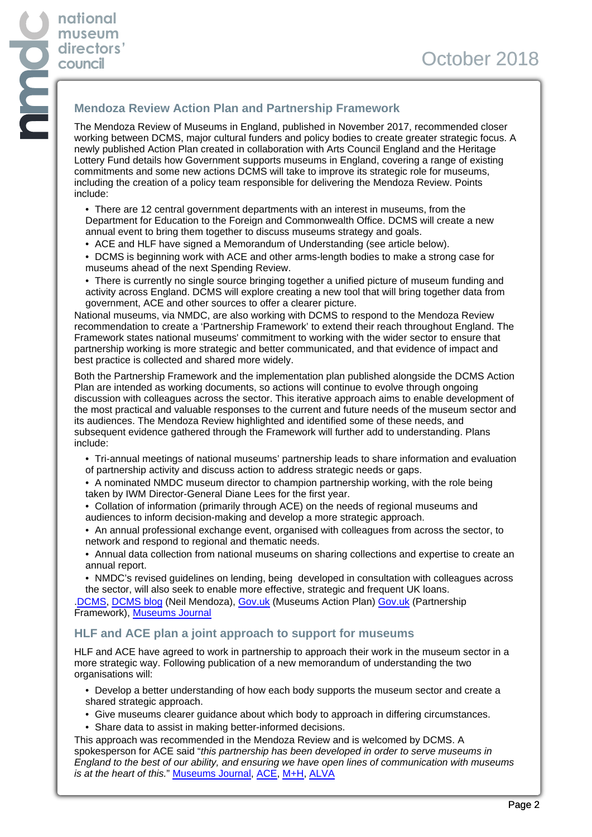# **Mendoza Review Action Plan and Partnership Framework**

The Mendoza Review of Museums in England, published in November 2017, recommended closer working between DCMS, major cultural funders and policy bodies to create greater strategic focus. A newly published Action Plan created in collaboration with Arts Council England and the Heritage Lottery Fund details how Government supports museums in England, covering a range of existing commitments and some new actions DCMS will take to improve its strategic role for museums, including the creation of a policy team responsible for delivering the Mendoza Review. Points include:

• There are 12 central government departments with an interest in museums, from the Department for Education to the Foreign and Commonwealth Office. DCMS will create a new annual event to bring them together to discuss museums strategy and goals.

- ACE and HLF have signed a Memorandum of Understanding (see article below).
- DCMS is beginning work with ACE and other arms-length bodies to make a strong case for museums ahead of the next Spending Review.
- There is currently no single source bringing together a unified picture of museum funding and activity across England. DCMS will explore creating a new tool that will bring together data from government, ACE and other sources to offer a clearer picture.

National museums, via NMDC, are also working with DCMS to respond to the Mendoza Review recommendation to create a 'Partnership Framework' to extend their reach throughout England. The Framework states national museums' commitment to working with the wider sector to ensure that partnership working is more strategic and better communicated, and that evidence of impact and best practice is collected and shared more widely.

Both the Partnership Framework and the implementation plan published alongside the DCMS Action Plan are intended as working documents, so actions will continue to evolve through ongoing discussion with colleagues across the sector. This iterative approach aims to enable development of the most practical and valuable responses to the current and future needs of the museum sector and its audiences. The Mendoza Review highlighted and identified some of these needs, and subsequent evidence gathered through the Framework will further add to understanding. Plans include:

- Tri-annual meetings of national museums' partnership leads to share information and evaluation of partnership activity and discuss action to address strategic needs or gaps.
- A nominated NMDC museum director to champion partnership working, with the role being taken by IWM Director-General Diane Lees for the first year.
- Collation of information (primarily through ACE) on the needs of regional museums and audiences to inform decision-making and develop a more strategic approach.
- An annual professional exchange event, organised with colleagues from across the sector, to network and respond to regional and thematic needs.
- Annual data collection from national museums on sharing collections and expertise to create an annual report.
- NMDC's revised guidelines on lending, being developed in consultation with colleagues across the sector, will also seek to enable more effective, strategic and frequent UK loans.

[.DCMS,](https://assets.publishing.service.gov.uk/government/uploads/system/uploads/attachment_data/file/745086/Museums__Partnership_Framework.pdf) [DCMS blog](https://dcmsblog.uk/2018/10/museums-action-plan/) (Neil Mendoza), [Gov.uk](https://assets.publishing.service.gov.uk/government/uploads/system/uploads/attachment_data/file/745091/Museums_Action_Plan_2018.pdf) (Museums Action Plan) [Gov.uk](https://assets.publishing.service.gov.uk/government/uploads/system/uploads/attachment_data/file/745086/Museums__Partnership_Framework.pdf) (Partnership Framework), [Museums Journal](https://www.museumsassociation.org/museums-journal/news/05102018-dcms-moves-forward-mendoza-review-recommendations)

## **HLF and ACE plan a joint approach to support for museums**

HLF and ACE have agreed to work in partnership to approach their work in the museum sector in a more strategic way. Following publication of a new memorandum of understanding the two organisations will:

- Develop a better understanding of how each body supports the museum sector and create a shared strategic approach.
- Give museums clearer guidance about which body to approach in differing circumstances.
- Share data to assist in making better-informed decisions.

This approach was recommended in the Mendoza Review and is welcomed by DCMS. A spokesperson for ACE said "this partnership has been developed in order to serve museums in England to the best of our ability, and ensuring we have open lines of communication with museums is at the heart of this." [Museums Journal,](https://www.museumsassociation.org/museums-journal/news/17092018-ace-hlf-form-partnership) [ACE,](https://www.artscouncil.org.uk/news/securing-bright-future-museums-england) [M+H,](https://advisor.museumsandheritage.com/news/arts-council-hlf-revitalise-partnership-better-support-museums/) [ALVA](http://www.alva.org.uk/details.cfm?p=413&codeid=339057)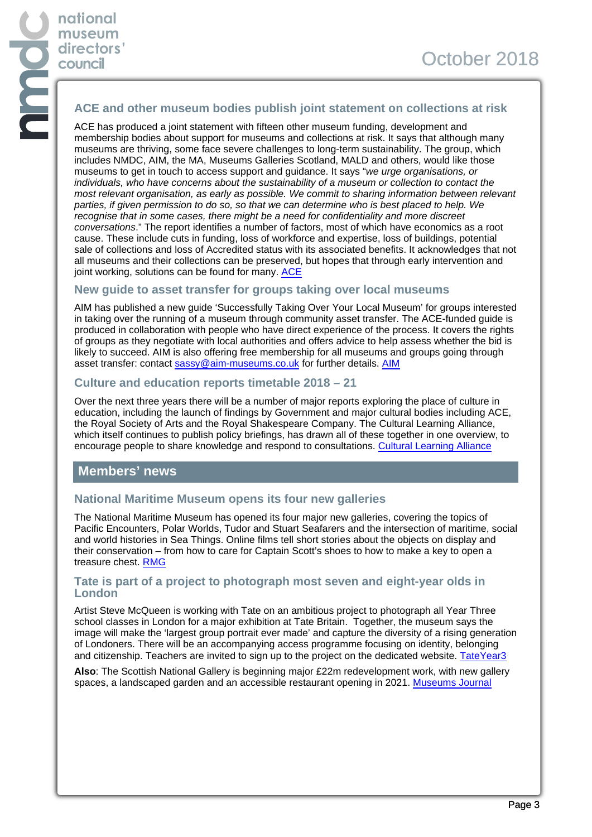## **ACE and other museum bodies publish joint statement on collections at risk**

ACE has produced a joint statement with fifteen other museum funding, development and membership bodies about support for museums and collections at risk. It says that although many museums are thriving, some face severe challenges to long-term sustainability. The group, which includes NMDC, AIM, the MA, Museums Galleries Scotland, MALD and others, would like those museums to get in touch to access support and guidance. It says "we urge organisations, or individuals, who have concerns about the sustainability of a museum or collection to contact the most relevant organisation, as early as possible. We commit to sharing information between relevant parties, if given permission to do so, so that we can determine who is best placed to help. We recognise that in some cases, there might be a need for confidentiality and more discreet conversations." The report identifies a number of factors, most of which have economics as a root cause. These include cuts in funding, loss of workforce and expertise, loss of buildings, potential sale of collections and loss of Accredited status with its associated benefits. It acknowledges that not all museums and their collections can be preserved, but hopes that through early intervention and joint working, solutions can be found for many. [ACE](https://www.artscouncil.org.uk/working-together-protect-museums-and-collections-risk)

#### **New guide to asset transfer for groups taking over local museums**

AIM has published a new guide 'Successfully Taking Over Your Local Museum' for groups interested in taking over the running of a museum through community asset transfer. The ACE-funded guide is produced in collaboration with people who have direct experience of the process. It covers the rights of groups as they negotiate with local authorities and offers advice to help assess whether the bid is likely to succeed. AIM is also offering free membership for all museums and groups going through asset transfer: contact [sassy@aim-museums.co.uk](mailto:sassy@aim-museums.co.uk) for further details. [AIM](https://www.aim-museums.co.uk/aim-launches-new-success-guide-successfully-taking-local-museum/)

#### **Culture and education reports timetable 2018 – 21**

Over the next three years there will be a number of major reports exploring the place of culture in education, including the launch of findings by Government and major cultural bodies including ACE, the Royal Society of Arts and the Royal Shakespeare Company. The Cultural Learning Alliance, which itself continues to publish policy briefings, has drawn all of these together in one overview, to encourage people to share knowledge and respond to consultations. [Cultural Learning Alliance](https://culturallearningalliance.org.uk/key-arts-education-moments-2018-2021/)

#### **Members' news**

#### **National Maritime Museum opens its four new galleries**

The National Maritime Museum has opened its four major new galleries, covering the topics of Pacific Encounters, Polar Worlds, Tudor and Stuart Seafarers and the intersection of maritime, social and world histories in Sea Things. Online films tell short stories about the objects on display and their conservation – from how to care for Captain Scott's shoes to how to make a key to open a treasure chest. [RMG](https://www.rmg.co.uk/whats-on/four-new-galleries)

#### **Tate is part of a project to photograph most seven and eight-year olds in London**

Artist Steve McQueen is working with Tate on an ambitious project to photograph all Year Three school classes in London for a major exhibition at Tate Britain. Together, the museum says the image will make the 'largest group portrait ever made' and capture the diversity of a rising generation of Londoners. There will be an accompanying access programme focusing on identity, belonging and citizenship. Teachers are invited to sign up to the project on the dedicated website. [TateYear3](https://www.tateyear3project.org.uk/about-the-project)

**Also**: The Scottish National Gallery is beginning major £22m redevelopment work, with new gallery spaces, a landscaped garden and an accessible restaurant opening in 2021. [Museums Journal](https://www.museumsassociation.org/museums-journal/news/26092018-work-to-transform-sng-begins)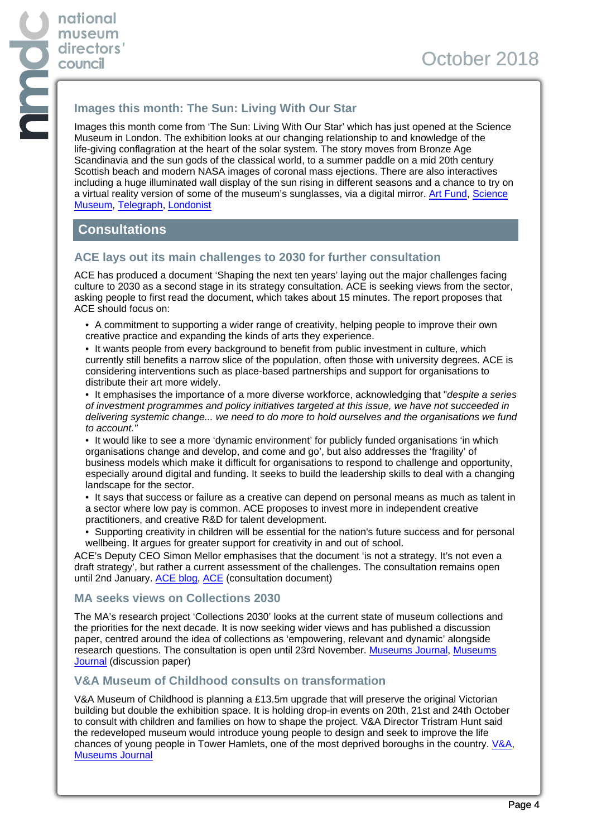# **Images this month: The Sun: Living With Our Star**

Images this month come from 'The Sun: Living With Our Star' which has just opened at the Science Museum in London. The exhibition looks at our changing relationship to and knowledge of the life-giving conflagration at the heart of the solar system. The story moves from Bronze Age Scandinavia and the sun gods of the classical world, to a summer paddle on a mid 20th century Scottish beach and modern NASA images of coronal mass ejections. There are also interactives including a huge illuminated wall display of the sun rising in different seasons and a chance to try on a virtual reality version of some of the museum's sunglasses, via a digital mirror. [Art Fund,](https://www.artfund.org/whats-on/exhibitions/2018/10/06/the-sun-living-with-our-star) [Science](https://www.sciencemuseum.org.uk/see-and-do/the-sun-living-with-our-star) [Museum](https://www.sciencemuseum.org.uk/see-and-do/the-sun-living-with-our-star), [Telegraph,](https://www.telegraph.co.uk/art/what-to-see/sun-living-star-science-museum-review-illuminating-not-quite/amp/) [Londonist](https://londonist.com/london/art-and-photography/the-sun-living-with-our-star-science-museum)

# **Consultations**

## **ACE lays out its main challenges to 2030 for further consultation**

ACE has produced a document 'Shaping the next ten years' laying out the major challenges facing culture to 2030 as a second stage in its strategy consultation. ACE is seeking views from the sector, asking people to first read the document, which takes about 15 minutes. The report proposes that ACE should focus on:

- A commitment to supporting a wider range of creativity, helping people to improve their own creative practice and expanding the kinds of arts they experience.
- It wants people from every background to benefit from public investment in culture, which currently still benefits a narrow slice of the population, often those with university degrees. ACE is considering interventions such as place-based partnerships and support for organisations to distribute their art more widely.

• It emphasises the importance of a more diverse workforce, acknowledging that "despite a series" of investment programmes and policy initiatives targeted at this issue, we have not succeeded in delivering systemic change... we need to do more to hold ourselves and the organisations we fund to account."

• It would like to see a more 'dynamic environment' for publicly funded organisations 'in which organisations change and develop, and come and go', but also addresses the 'fragility' of business models which make it difficult for organisations to respond to challenge and opportunity, especially around digital and funding. It seeks to build the leadership skills to deal with a changing landscape for the sector.

- It says that success or failure as a creative can depend on personal means as much as talent in a sector where low pay is common. ACE proposes to invest more in independent creative practitioners, and creative R&D for talent development.
- Supporting creativity in children will be essential for the nation's future success and for personal wellbeing. It argues for greater support for creativity in and out of school.

ACE's Deputy CEO Simon Mellor emphasises that the document 'is not a strategy. It's not even a draft strategy', but rather a current assessment of the challenges. The consultation remains open until 2nd January. [ACE blog,](https://www.artscouncil.org.uk/blog/consulting-next-ten-years) [ACE](https://www.artscouncil.org.uk/nexttenyears) (consultation document)

#### **MA seeks views on Collections 2030**

The MA's research project 'Collections 2030' looks at the current state of museum collections and the priorities for the next decade. It is now seeking wider views and has published a discussion paper, centred around the idea of collections as 'empowering, relevant and dynamic' alongside research questions. The consultation is open until 23rd November. [Museums Journal](https://www.museumsassociation.org/news/10092018-have-your-say-in-the-ma-collections-2030-discussion), [Museums](https://www.museumsassociation.org/download?id=1253998) [Journal](https://www.museumsassociation.org/download?id=1253998) (discussion paper)

## **V&A Museum of Childhood consults on transformation**

V&A Museum of Childhood is planning a £13.5m upgrade that will preserve the original Victorian building but double the exhibition space. It is holding drop-in events on 20th, 21st and 24th October to consult with children and families on how to shape the project. V&A Director Tristram Hunt said the redeveloped museum would introduce young people to design and seek to improve the life chances of young people in Tower Hamlets, one of the most deprived boroughs in the country. [V&A,](https://www.vam.ac.uk/moc/transformation/) [Museums Journal](https://www.museumsassociation.org/museums-journal/news/03102018-v-and-a-museum-childhood-redevelopment)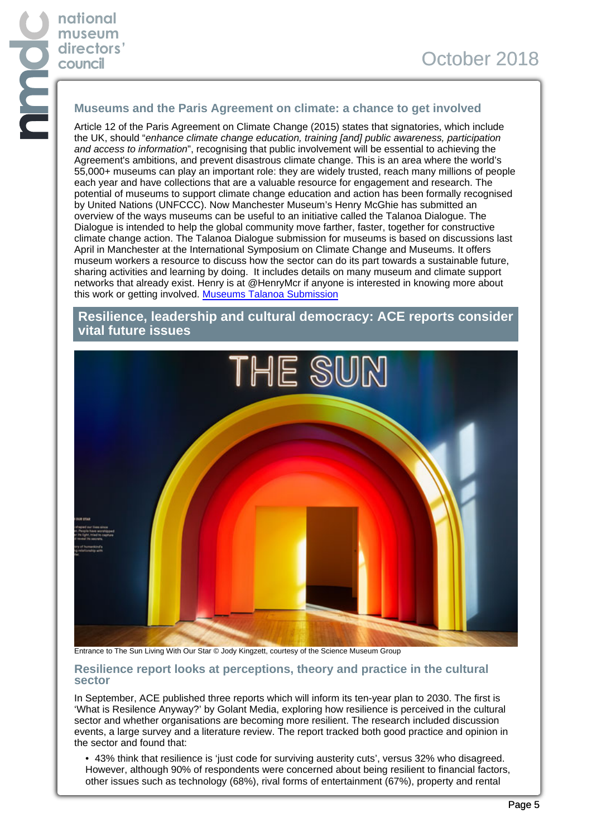## **Museums and the Paris Agreement on climate: a chance to get involved**

Article 12 of the Paris Agreement on Climate Change (2015) states that signatories, which include the UK, should "enhance climate change education, training [and] public awareness, participation and access to information", recognising that public involvement will be essential to achieving the Agreement's ambitions, and prevent disastrous climate change. This is an area where the world's 55,000+ museums can play an important role: they are widely trusted, reach many millions of people each year and have collections that are a valuable resource for engagement and research. The potential of museums to support climate change education and action has been formally recognised by United Nations (UNFCCC). Now Manchester Museum's Henry McGhie has submitted an overview of the ways museums can be useful to an initiative called the Talanoa Dialogue. The Dialogue is intended to help the global community move farther, faster, together for constructive climate change action. The Talanoa Dialogue submission for museums is based on discussions last April in Manchester at the International Symposium on Climate Change and Museums. It offers museum workers a resource to discuss how the sector can do its part towards a sustainable future, sharing activities and learning by doing. It includes details on many museum and climate support networks that already exist. Henry is at @HenryMcr if anyone is interested in knowing more about this work or getting involved. [Museums Talanoa Submission](https://unfccc.int/documents/182150)

## **Resilience, leadership and cultural democracy: ACE reports consider vital future issues**



Entrance to The Sun Living With Our Star © Jody Kingzett, courtesy of the Science Museum Group

#### **Resilience report looks at perceptions, theory and practice in the cultural sector**

In September, ACE published three reports which will inform its ten-year plan to 2030. The first is 'What is Resilence Anyway?' by Golant Media, exploring how resilience is perceived in the cultural sector and whether organisations are becoming more resilient. The research included discussion events, a large survey and a literature review. The report tracked both good practice and opinion in the sector and found that:

• 43% think that resilience is 'just code for surviving austerity cuts', versus 32% who disagreed. However, although 90% of respondents were concerned about being resilient to financial factors, other issues such as technology (68%), rival forms of entertainment (67%), property and rental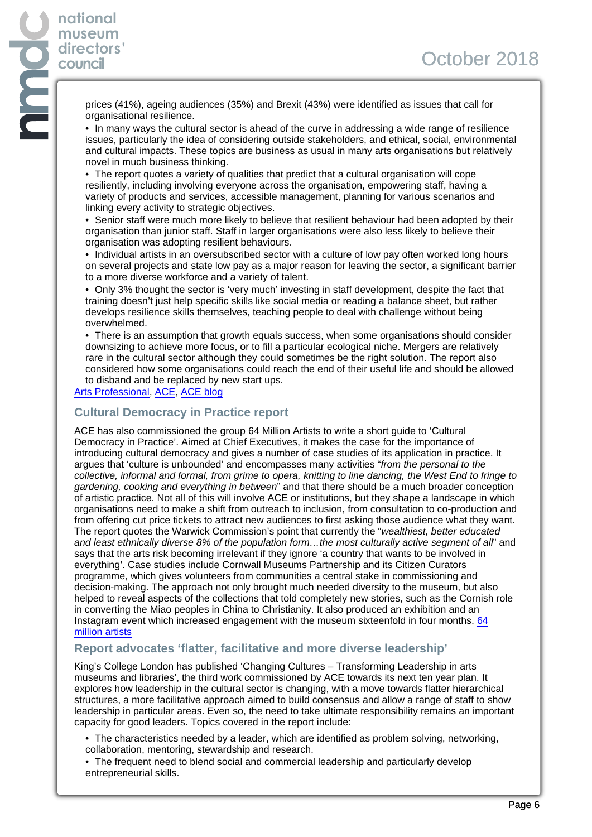prices (41%), ageing audiences (35%) and Brexit (43%) were identified as issues that call for organisational resilience.

• In many ways the cultural sector is ahead of the curve in addressing a wide range of resilience issues, particularly the idea of considering outside stakeholders, and ethical, social, environmental and cultural impacts. These topics are business as usual in many arts organisations but relatively novel in much business thinking.

• The report quotes a variety of qualities that predict that a cultural organisation will cope resiliently, including involving everyone across the organisation, empowering staff, having a variety of products and services, accessible management, planning for various scenarios and linking every activity to strategic objectives.

• Senior staff were much more likely to believe that resilient behaviour had been adopted by their organisation than junior staff. Staff in larger organisations were also less likely to believe their organisation was adopting resilient behaviours.

• Individual artists in an oversubscribed sector with a culture of low pay often worked long hours on several projects and state low pay as a major reason for leaving the sector, a significant barrier to a more diverse workforce and a variety of talent.

• Only 3% thought the sector is 'very much' investing in staff development, despite the fact that training doesn't just help specific skills like social media or reading a balance sheet, but rather develops resilience skills themselves, teaching people to deal with challenge without being overwhelmed.

• There is an assumption that growth equals success, when some organisations should consider downsizing to achieve more focus, or to fill a particular ecological niche. Mergers are relatively rare in the cultural sector although they could sometimes be the right solution. The report also considered how some organisations could reach the end of their useful life and should be allowed to disband and be replaced by new start ups.

#### [Arts Professional](https://www.artsprofessional.co.uk/news/arts-organisations-must-be-allowed-die-report-claims), [ACE](https://www.artscouncil.org.uk/publication/what-resilience-anyway-review), [ACE blog](https://www.artscouncil.org.uk/blog/resilience-arts-and-culture)

## **Cultural Democracy in Practice report**

ACE has also commissioned the group 64 Million Artists to write a short guide to 'Cultural Democracy in Practice'. Aimed at Chief Executives, it makes the case for the importance of introducing cultural democracy and gives a number of case studies of its application in practice. It argues that 'culture is unbounded' and encompasses many activities "from the personal to the collective, informal and formal, from grime to opera, knitting to line dancing, the West End to fringe to gardening, cooking and everything in between" and that there should be a much broader conception of artistic practice. Not all of this will involve ACE or institutions, but they shape a landscape in which organisations need to make a shift from outreach to inclusion, from consultation to co-production and from offering cut price tickets to attract new audiences to first asking those audience what they want. The report quotes the Warwick Commission's point that currently the "wealthiest, better educated and least ethnically diverse 8% of the population form…the most culturally active segment of all" and says that the arts risk becoming irrelevant if they ignore 'a country that wants to be involved in everything'. Case studies include Cornwall Museums Partnership and its Citizen Curators programme, which gives volunteers from communities a central stake in commissioning and decision-making. The approach not only brought much needed diversity to the museum, but also helped to reveal aspects of the collections that told completely new stories, such as the Cornish role in converting the Miao peoples in China to Christianity. It also produced an exhibition and an Instagram event which increased engagement with the museum sixteenfold in four months. [64](https://64millionartists.com/launch-of-cultural-democracy-in-practice-report/?mc_cid=c7d0e9a023&mc_eid=64ab6ba34c) [million artists](https://64millionartists.com/launch-of-cultural-democracy-in-practice-report/?mc_cid=c7d0e9a023&mc_eid=64ab6ba34c)

## **Report advocates 'flatter, facilitative and more diverse leadership'**

King's College London has published 'Changing Cultures – Transforming Leadership in arts museums and libraries', the third work commissioned by ACE towards its next ten year plan. It explores how leadership in the cultural sector is changing, with a move towards flatter hierarchical structures, a more facilitative approach aimed to build consensus and allow a range of staff to show leadership in particular areas. Even so, the need to take ultimate responsibility remains an important capacity for good leaders. Topics covered in the report include:

- The characteristics needed by a leader, which are identified as problem solving, networking, collaboration, mentoring, stewardship and research.
- The frequent need to blend social and commercial leadership and particularly develop entrepreneurial skills.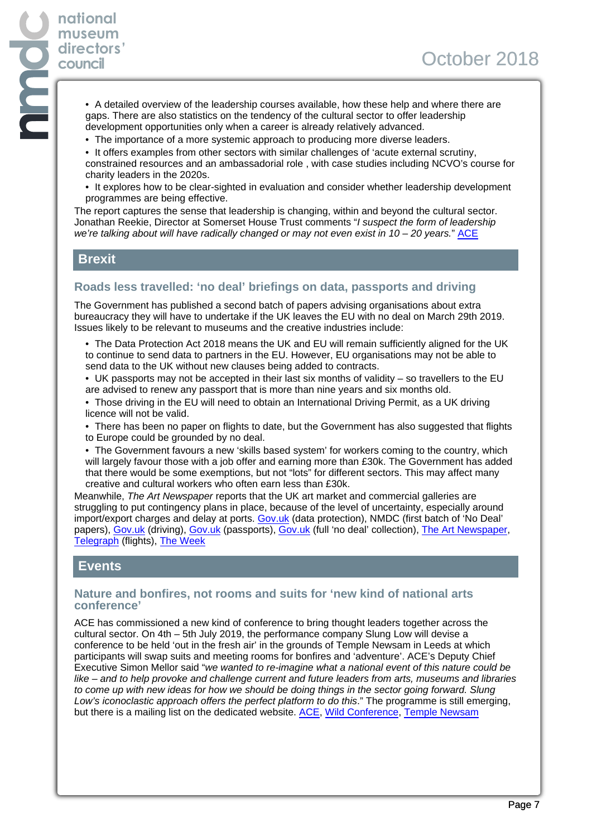- A detailed overview of the leadership courses available, how these help and where there are gaps. There are also statistics on the tendency of the cultural sector to offer leadership development opportunities only when a career is already relatively advanced.
- The importance of a more systemic approach to producing more diverse leaders.
- It offers examples from other sectors with similar challenges of 'acute external scrutiny, constrained resources and an ambassadorial role , with case studies including NCVO's course for charity leaders in the 2020s.
- It explores how to be clear-sighted in evaluation and consider whether leadership development programmes are being effective.

The report captures the sense that leadership is changing, within and beyond the cultural sector. Jonathan Reekie, Director at Somerset House Trust comments "I suspect the form of leadership we're talking about will have radically changed or may not even exist in 10 - 20 years." [ACE](https://www.artscouncil.org.uk/sites/default/files/download-file/Changing%20Cultures_0.pdf)

## **Brexit**

**national museum directors' council**

## **Roads less travelled: 'no deal' briefings on data, passports and driving**

The Government has published a second batch of papers advising organisations about extra bureaucracy they will have to undertake if the UK leaves the EU with no deal on March 29th 2019. Issues likely to be relevant to museums and the creative industries include:

• The Data Protection Act 2018 means the UK and EU will remain sufficiently aligned for the UK to continue to send data to partners in the EU. However, EU organisations may not be able to send data to the UK without new clauses being added to contracts.

• UK passports may not be accepted in their last six months of validity – so travellers to the EU are advised to renew any passport that is more than nine years and six months old.

- Those driving in the EU will need to obtain an International Driving Permit, as a UK driving licence will not be valid.
- There has been no paper on flights to date, but the Government has also suggested that flights to Europe could be grounded by no deal.

• The Government favours a new 'skills based system' for workers coming to the country, which will largely favour those with a job offer and earning more than £30k. The Government has added that there would be some exemptions, but not "lots" for different sectors. This may affect many creative and cultural workers who often earn less than £30k.

Meanwhile, The Art Newspaper reports that the UK art market and commercial galleries are struggling to put contingency plans in place, because of the level of uncertainty, especially around import/export charges and delay at ports. [Gov.uk](https://www.gov.uk/government/publications/data-protection-if-theres-no-brexit-deal/data-protection-if-theres-no-brexit-deal) (data protection), NMDC (first batch of 'No Deal' papers), [Gov.uk](https://www.gov.uk/government/publications/driving-in-the-eu-if-theres-no-brexit-deal/driving-in-the-eu-if-theres-no-brexit-deal) (driving), [Gov.uk](https://www.gov.uk/government/publications/travelling-to-the-eu-with-a-uk-passport-if-theres-no-brexit-deal/travelling-to-the-eu-with-a-uk-passport-if-theres-no-brexit-deal) (passports), [Gov.uk](https://www.gov.uk/government/collections/how-to-prepare-if-the-uk-leaves-the-eu-with-no-deal) (full 'no deal' collection), [The Art Newspaper](https://www.theartnewspaper.com/news/from-tariffs-to-t-forms-how-the-uk-art-market-is-preparing-for-brexit?utm_source=daily_september26_2018&utm_medium=email&utm_campaign=email_daily&utm_source=The+Art+Newspaper+Newsletters&utm_campaign=bb30568bc4-EMAIL_CAMPAIGN_2018_09_25_09_06&utm_medium=email&utm_term=0_c459f924d0-bb30568bc4-61117389), [Telegraph](https://www.telegraph.co.uk/travel/news/brexit-flight-cancellations-no-deal/) (flights), [The Week](http://www.theweek.co.uk/brexit/96036/no-deal-brexit-papers-reading-between-the-lines)

## **Events**

#### **Nature and bonfires, not rooms and suits for 'new kind of national arts conference'**

ACE has commissioned a new kind of conference to bring thought leaders together across the cultural sector. On 4th – 5th July 2019, the performance company Slung Low will devise a conference to be held 'out in the fresh air' in the grounds of Temple Newsam in Leeds at which participants will swap suits and meeting rooms for bonfires and 'adventure'. ACE's Deputy Chief Executive Simon Mellor said "we wanted to re-imagine what a national event of this nature could be like – and to help provoke and challenge current and future leaders from arts, museums and libraries to come up with new ideas for how we should be doing things in the sector going forward. Slung Low's iconoclastic approach offers the perfect platform to do this." The programme is still emerging, but there is a mailing list on the dedicated website. [ACE](http://press.artscouncil.org.uk/press_releases/arts-council-england-have-commissioned-slung-low-to-produce-develop-and-deliver-a-new-thought-leadership-event/), [Wild Conference,](https://www.slunglow.org/wildconference/) [Temple Newsam](https://www.leeds.gov.uk/museumsandgalleries/templenewsamhouse)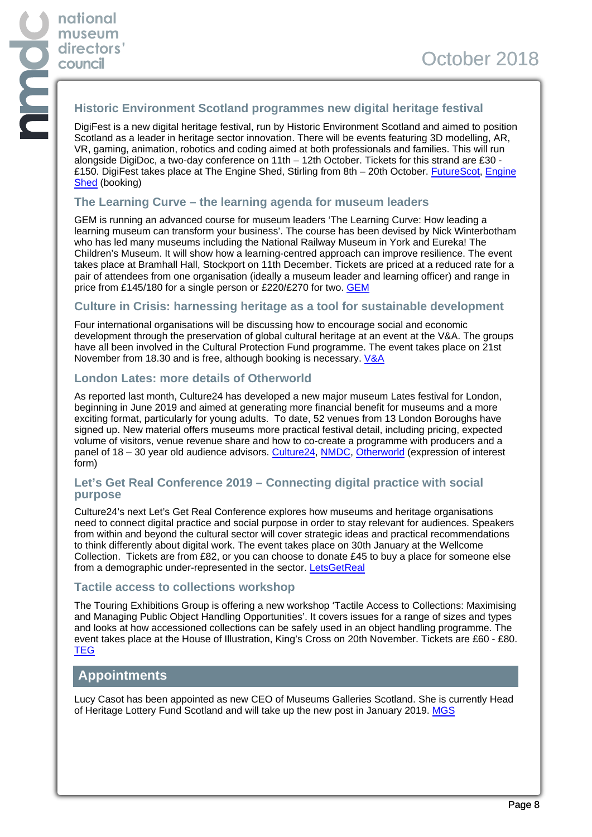#### **Historic Environment Scotland programmes new digital heritage festival**

DigiFest is a new digital heritage festival, run by Historic Environment Scotland and aimed to position Scotland as a leader in heritage sector innovation. There will be events featuring 3D modelling, AR, VR, gaming, animation, robotics and coding aimed at both professionals and families. This will run alongside DigiDoc, a two-day conference on 11th – 12th October. Tickets for this strand are £30 - £150. DigiFest takes place at The Engine Shed, Stirling from 8th – 20th October. [FutureScot,](http://futurescot.com/heritage-digifest-stirling/) [Engine](https://www.engineshed.scot/digifest-2018/digidoc/) [Shed](https://www.engineshed.scot/digifest-2018/digidoc/) (booking)

#### **The Learning Curve – the learning agenda for museum leaders**

GEM is running an advanced course for museum leaders 'The Learning Curve: How leading a learning museum can transform your business'. The course has been devised by Nick Winterbotham who has led many museums including the National Railway Museum in York and Eureka! The Children's Museum. It will show how a learning-centred approach can improve resilience. The event takes place at Bramhall Hall, Stockport on 11th December. Tickets are priced at a reduced rate for a pair of attendees from one organisation (ideally a museum leader and learning officer) and range in price from £145/180 for a single person or £220/£270 for two. [GEM](https://gem.org.uk/training-and-events/gems-training-programme/advanced-workshop-learning-curve/)

#### **Culture in Crisis: harnessing heritage as a tool for sustainable development**

Four international organisations will be discussing how to encourage social and economic development through the preservation of global cultural heritage at an event at the V&A. The groups have all been involved in the Cultural Protection Fund programme. The event takes place on 21st November from 18.30 and is free, although booking is necessary. [V&A](https://www.vam.ac.uk/event/kGBpJzmn/culture-in-crisis-harnessing-heritage-as-a-tool-for-sustainable-development)

#### **London Lates: more details of Otherworld**

As reported last month, Culture24 has developed a new major museum Lates festival for London, beginning in June 2019 and aimed at generating more financial benefit for museums and a more exciting format, particularly for young adults. To date, 52 venues from 13 London Boroughs have signed up. New material offers museums more practical festival detail, including pricing, expected volume of visitors, venue revenue share and how to co-create a programme with producers and a panel of 18 – 30 year old audience advisors. [Culture24](https://weareculture24.org.uk/otherworld/), [NMDC,](https://www.nationalmuseums.org.uk/news/newsletters/?item=141#article13) [Otherworld](https://www.surveymonkey.co.uk/r/LondonLatesFestVenues) (expression of interest form)

#### **Let's Get Real Conference 2019 – Connecting digital practice with social purpose**

Culture24's next Let's Get Real Conference explores how museums and heritage organisations need to connect digital practice and social purpose in order to stay relevant for audiences. Speakers from within and beyond the cultural sector will cover strategic ideas and practical recommendations to think differently about digital work. The event takes place on 30th January at the Wellcome Collection. Tickets are from £82, or you can choose to donate £45 to buy a place for someone else from a demographic under-represented in the sector. [LetsGetReal](http://letsgetrealconference.com/)

#### **Tactile access to collections workshop**

The Touring Exhibitions Group is offering a new workshop 'Tactile Access to Collections: Maximising and Managing Public Object Handling Opportunities'. It covers issues for a range of sizes and types and looks at how accessioned collections can be safely used in an object handling programme. The event takes place at the House of Illustration, King's Cross on 20th November. Tickets are £60 - £80. **[TEG](https://www.eventbrite.co.uk/e/teg-tactile-access-to-collections-workshop-london-tickets-50869803953)** 

## **Appointments**

Lucy Casot has been appointed as new CEO of Museums Galleries Scotland. She is currently Head of Heritage Lottery Fund Scotland and will take up the new post in January 2019. [MGS](https://www.museumsgalleriesscotland.org.uk/stories/lucy-casot-named-new-ceo-of-mgs/?utm_content=buffer1c1fe&utm_medium=social&utm_source=twitter.com&utm_campaign=buffer)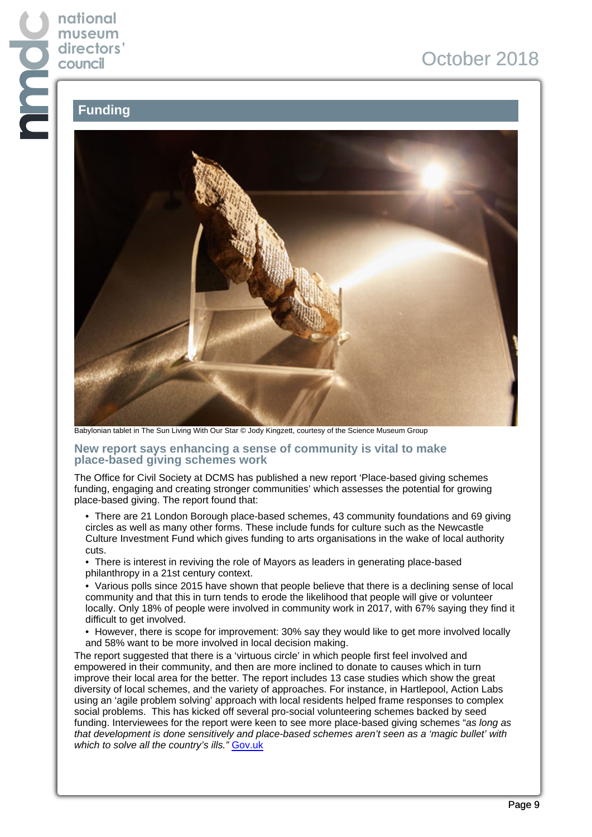# **national museum directors' council**

# October 2018

# **Funding**



Babylonian tablet in The Sun Living With Our Star © Jody Kingzett, courtesy of the Science Museum Group

#### **New report says enhancing a sense of community is vital to make place-based giving schemes work**

The Office for Civil Society at DCMS has published a new report 'Place-based giving schemes funding, engaging and creating stronger communities' which assesses the potential for growing place-based giving. The report found that:

• There are 21 London Borough place-based schemes, 43 community foundations and 69 giving circles as well as many other forms. These include funds for culture such as the Newcastle Culture Investment Fund which gives funding to arts organisations in the wake of local authority cuts.

• There is interest in reviving the role of Mayors as leaders in generating place-based philanthropy in a 21st century context.

• Various polls since 2015 have shown that people believe that there is a declining sense of local community and that this in turn tends to erode the likelihood that people will give or volunteer locally. Only 18% of people were involved in community work in 2017, with 67% saying they find it difficult to get involved.

• However, there is scope for improvement: 30% say they would like to get more involved locally and 58% want to be more involved in local decision making.

The report suggested that there is a 'virtuous circle' in which people first feel involved and empowered in their community, and then are more inclined to donate to causes which in turn improve their local area for the better. The report includes 13 case studies which show the great diversity of local schemes, and the variety of approaches. For instance, in Hartlepool, Action Labs using an 'agile problem solving' approach with local residents helped frame responses to complex social problems. This has kicked off several pro-social volunteering schemes backed by seed funding. Interviewees for the report were keen to see more place-based giving schemes "as long as that development is done sensitively and place-based schemes aren't seen as a 'magic bullet' with which to solve all the country's ills." [Gov.uk](https://assets.publishing.service.gov.uk/government/uploads/system/uploads/attachment_data/file/740270/Place-based_giving_schemes_in_England__final_.pdf)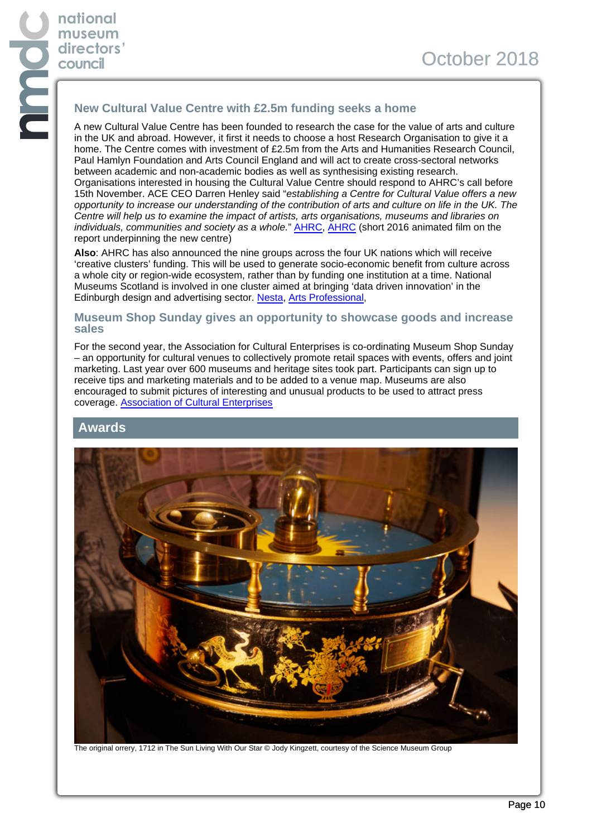# **New Cultural Value Centre with £2.5m funding seeks a home**

A new Cultural Value Centre has been founded to research the case for the value of arts and culture in the UK and abroad. However, it first it needs to choose a host Research Organisation to give it a home. The Centre comes with investment of £2.5m from the Arts and Humanities Research Council, Paul Hamlyn Foundation and Arts Council England and will act to create cross-sectoral networks between academic and non-academic bodies as well as synthesising existing research. Organisations interested in housing the Cultural Value Centre should respond to AHRC's call before 15th November. ACE CEO Darren Henley said "establishing a Centre for Cultural Value offers a new opportunity to increase our understanding of the contribution of arts and culture on life in the UK. The Centre will help us to examine the impact of artists, arts organisations, museums and libraries on individuals, communities and society as a whole." **[AHRC](https://ahrc.ukri.org/research/readwatchlisten/filmsandpodcasts/cvp-animation/), AHRC** (short 2016 animated film on the report underpinning the new centre)

**Also**: AHRC has also announced the nine groups across the four UK nations which will receive 'creative clusters' funding. This will be used to generate socio-economic benefit from culture across a whole city or region-wide ecosystem, rather than by funding one institution at a time. National Museums Scotland is involved in one cluster aimed at bringing 'data driven innovation' in the Edinburgh design and advertising sector. [Nesta,](https://www.nesta.org.uk/blog/a-coming-of-age-for-the-uks-creative-industries/) [Arts Professional,](https://www.artsprofessional.co.uk/news/academics-and-arts-sector-join-forces-ps80m-creative-clusters-scheme)

#### **Museum Shop Sunday gives an opportunity to showcase goods and increase sales**

For the second year, the Association for Cultural Enterprises is co-ordinating Museum Shop Sunday – an opportunity for cultural venues to collectively promote retail spaces with events, offers and joint marketing. Last year over 600 museums and heritage sites took part. Participants can sign up to receive tips and marketing materials and to be added to a venue map. Museums are also encouraged to submit pictures of interesting and unusual products to be used to attract press coverage. [Association of Cultural Enterprises](https://acenterprises.org.uk/museum-shop-sunday)

#### **Awards**



The original orrery, 1712 in The Sun Living With Our Star © Jody Kingzett, courtesy of the Science Museum Group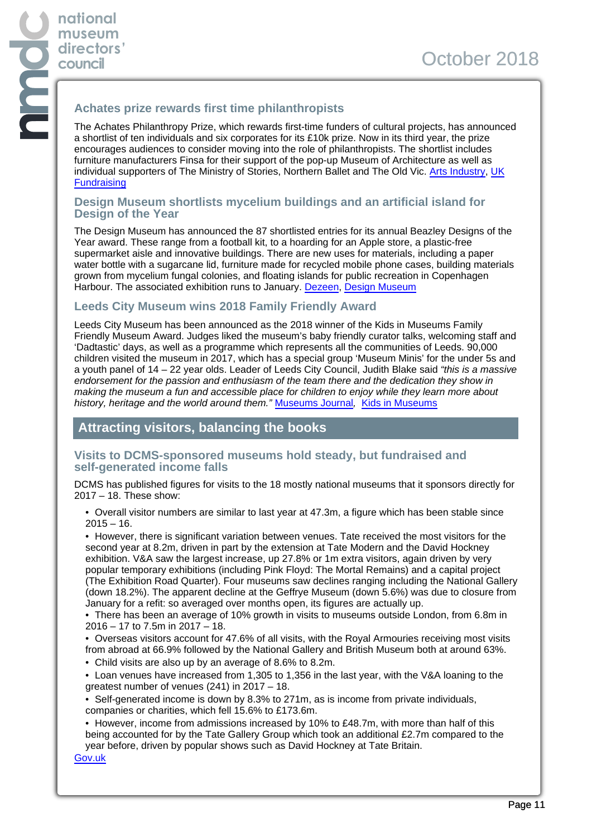## **Achates prize rewards first time philanthropists**

The Achates Philanthropy Prize, which rewards first-time funders of cultural projects, has announced a shortlist of ten individuals and six corporates for its £10k prize. Now in its third year, the prize encourages audiences to consider moving into the role of philanthropists. The shortlist includes furniture manufacturers Finsa for their support of the pop-up Museum of Architecture as well as individual supporters of The Ministry of Stories, Northern Ballet and The Old Vic. [Arts Industry](https://www.artsindustry.co.uk/news/1332-achates-shortlist-honours-first-time-givers), [UK](https://fundraising.co.uk/2018/09/26/shortlist-announced-achates-philanthropy-prize/) **[Fundraising](https://fundraising.co.uk/2018/09/26/shortlist-announced-achates-philanthropy-prize/)** 

#### **Design Museum shortlists mycelium buildings and an artificial island for Design of the Year**

The Design Museum has announced the 87 shortlisted entries for its annual Beazley Designs of the Year award. These range from a football kit, to a hoarding for an Apple store, a plastic-free supermarket aisle and innovative buildings. There are new uses for materials, including a paper water bottle with a sugarcane lid, furniture made for recycled mobile phone cases, building materials grown from mycelium fungal colonies, and floating islands for public recreation in Copenhagen Harbour. The associated exhibition runs to January. [Dezeen,](https://www.dezeen.com/2018/09/11/design-of-the-year-2018-awards-shortlist/) [Design Museum](https://designmuseum.org/exhibitions/beazley-designs-of-the-year-2018)

## **Leeds City Museum wins 2018 Family Friendly Award**

Leeds City Museum has been announced as the 2018 winner of the Kids in Museums Family Friendly Museum Award. Judges liked the museum's baby friendly curator talks, welcoming staff and 'Dadtastic' days, as well as a programme which represents all the communities of Leeds. 90,000 children visited the museum in 2017, which has a special group 'Museum Minis' for the under 5s and a youth panel of 14 – 22 year olds. Leader of Leeds City Council, Judith Blake said "this is a massive endorsement for the passion and enthusiasm of the team there and the dedication they show in making the museum a fun and accessible place for children to enjoy while they learn more about history, heritage and the world around them." [Museums Journal](https://www.museumsassociation.org/museums-journal/news/031018-leeds-city-family-museum-of-2018), [Kids in Museums](https://kidsinmuseums.org.uk/awards/)

## **Attracting visitors, balancing the books**

#### **Visits to DCMS-sponsored museums hold steady, but fundraised and self-generated income falls**

DCMS has published figures for visits to the 18 mostly national museums that it sponsors directly for 2017 – 18. These show:

• Overall visitor numbers are similar to last year at 47.3m, a figure which has been stable since  $2015 - 16$ .

• However, there is significant variation between venues. Tate received the most visitors for the second year at 8.2m, driven in part by the extension at Tate Modern and the David Hockney exhibition. V&A saw the largest increase, up 27.8% or 1m extra visitors, again driven by very popular temporary exhibitions (including Pink Floyd: The Mortal Remains) and a capital project (The Exhibition Road Quarter). Four museums saw declines ranging including the National Gallery (down 18.2%). The apparent decline at the Geffrye Museum (down 5.6%) was due to closure from January for a refit: so averaged over months open, its figures are actually up.

• There has been an average of 10% growth in visits to museums outside London, from 6.8m in 2016 – 17 to 7.5m in 2017 – 18.

• Overseas visitors account for 47.6% of all visits, with the Royal Armouries receiving most visits from abroad at 66.9% followed by the National Gallery and British Museum both at around 63%.

• Child visits are also up by an average of 8.6% to 8.2m.

• Loan venues have increased from 1,305 to 1,356 in the last year, with the V&A loaning to the greatest number of venues (241) in 2017 – 18.

• Self-generated income is down by 8.3% to 271m, as is income from private individuals, companies or charities, which fell 15.6% to £173.6m.

• However, income from admissions increased by 10% to £48.7m, with more than half of this being accounted for by the Tate Gallery Group which took an additional £2.7m compared to the year before, driven by popular shows such as David Hockney at Tate Britain.

[Gov.uk](https://assets.publishing.service.gov.uk/government/uploads/system/uploads/attachment_data/file/743361/Sponsored_Museums_and_Galleries_Performance_Indicators_2017_18.pdf)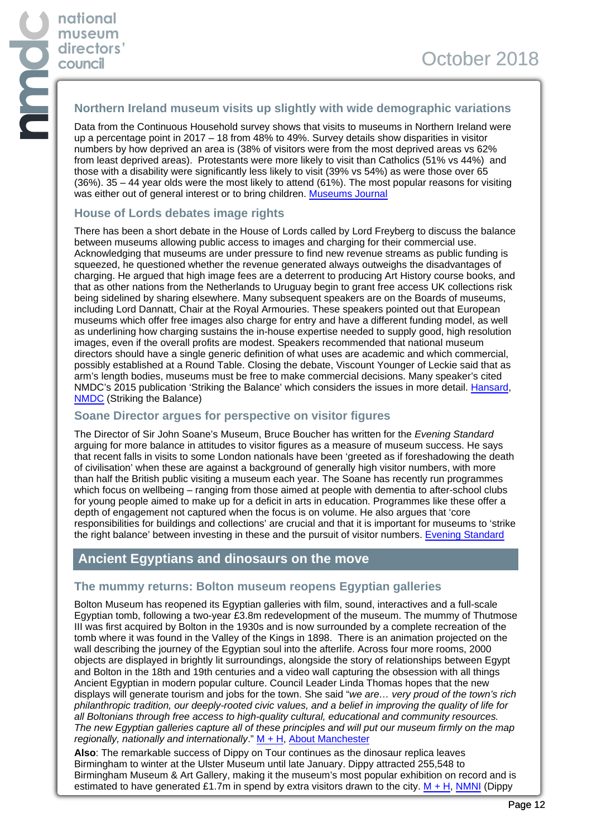#### **Northern Ireland museum visits up slightly with wide demographic variations**

Data from the Continuous Household survey shows that visits to museums in Northern Ireland were up a percentage point in 2017 – 18 from 48% to 49%. Survey details show disparities in visitor numbers by how deprived an area is (38% of visitors were from the most deprived areas vs 62% from least deprived areas). Protestants were more likely to visit than Catholics (51% vs 44%) and those with a disability were significantly less likely to visit (39% vs 54%) as were those over 65 (36%). 35 – 44 year olds were the most likely to attend (61%). The most popular reasons for visiting was either out of general interest or to bring children. [Museums Journal](https://www.museumsassociation.org/museums-journal/news/03102018-visits-northern-ireland-steady)

#### **House of Lords debates image rights**

There has been a short debate in the House of Lords called by Lord Freyberg to discuss the balance between museums allowing public access to images and charging for their commercial use. Acknowledging that museums are under pressure to find new revenue streams as public funding is squeezed, he questioned whether the revenue generated always outweighs the disadvantages of charging. He argued that high image fees are a deterrent to producing Art History course books, and that as other nations from the Netherlands to Uruguay begin to grant free access UK collections risk being sidelined by sharing elsewhere. Many subsequent speakers are on the Boards of museums, including Lord Dannatt, Chair at the Royal Armouries. These speakers pointed out that European museums which offer free images also charge for entry and have a different funding model, as well as underlining how charging sustains the in-house expertise needed to supply good, high resolution images, even if the overall profits are modest. Speakers recommended that national museum directors should have a single generic definition of what uses are academic and which commercial, possibly established at a Round Table. Closing the debate, Viscount Younger of Leckie said that as arm's length bodies, museums must be free to make commercial decisions. Many speaker's cited NMDC's 2015 publication 'Striking the Balance' which considers the issues in more detail. [Hansard,](https://hansard.parliament.uk/lords/2018-09-12/debates/A4C8C41E-6523-4052-B141-8F260B980401/MuseumsAndGalleries) [NMDC](https://www.nationalmuseums.org.uk/media/documents/publications/striking_the_balance.pdf) (Striking the Balance)

#### **Soane Director argues for perspective on visitor figures**

The Director of Sir John Soane's Museum, Bruce Boucher has written for the Evening Standard arguing for more balance in attitudes to visitor figures as a measure of museum success. He says that recent falls in visits to some London nationals have been 'greeted as if foreshadowing the death of civilisation' when these are against a background of generally high visitor numbers, with more than half the British public visiting a museum each year. The Soane has recently run programmes which focus on wellbeing – ranging from those aimed at people with dementia to after-school clubs for young people aimed to make up for a deficit in arts in education. Programmes like these offer a depth of engagement not captured when the focus is on volume. He also argues that 'core responsibilities for buildings and collections' are crucial and that it is important for museums to 'strike the right balance' between investing in these and the pursuit of visitor numbers. [Evening Standard](https://www.standard.co.uk/comment/comment/visitor-figures-don-t-show-the-whole-value-of-our-museums-a3934956.html)

## **Ancient Egyptians and dinosaurs on the move**

#### **The mummy returns: Bolton museum reopens Egyptian galleries**

Bolton Museum has reopened its Egyptian galleries with film, sound, interactives and a full-scale Egyptian tomb, following a two-year £3.8m redevelopment of the museum. The mummy of Thutmose III was first acquired by Bolton in the 1930s and is now surrounded by a complete recreation of the tomb where it was found in the Valley of the Kings in 1898. There is an animation projected on the wall describing the journey of the Egyptian soul into the afterlife. Across four more rooms, 2000 objects are displayed in brightly lit surroundings, alongside the story of relationships between Egypt and Bolton in the 18th and 19th centuries and a video wall capturing the obsession with all things Ancient Egyptian in modern popular culture. Council Leader Linda Thomas hopes that the new displays will generate tourism and jobs for the town. She said "we are... very proud of the town's rich philanthropic tradition, our deeply-rooted civic values, and a belief in improving the quality of life for all Boltonians through free access to high-quality cultural, educational and community resources. The new Egyptian galleries capture all of these principles and will put our museum firmly on the map regionally, nationally and internationally."  $M + H$ , [About Manchester](http://aboutmanchester.co.uk/boltons-new-3-8m-museum-and-galleries-with-five-rooms-dedicated-to-ancient-egypt-now-open-to-publi/)

**Also**: The remarkable success of Dippy on Tour continues as the dinosaur replica leaves Birmingham to winter at the Ulster Museum until late January. Dippy attracted 255,548 to Birmingham Museum & Art Gallery, making it the museum's most popular exhibition on record and is estimated to have generated £1.7m in spend by extra visitors drawn to the city.  $M + H$ , [NMNI](https://www.nmni.com/whats-on/dippy-on-tour-exhibition) (Dippy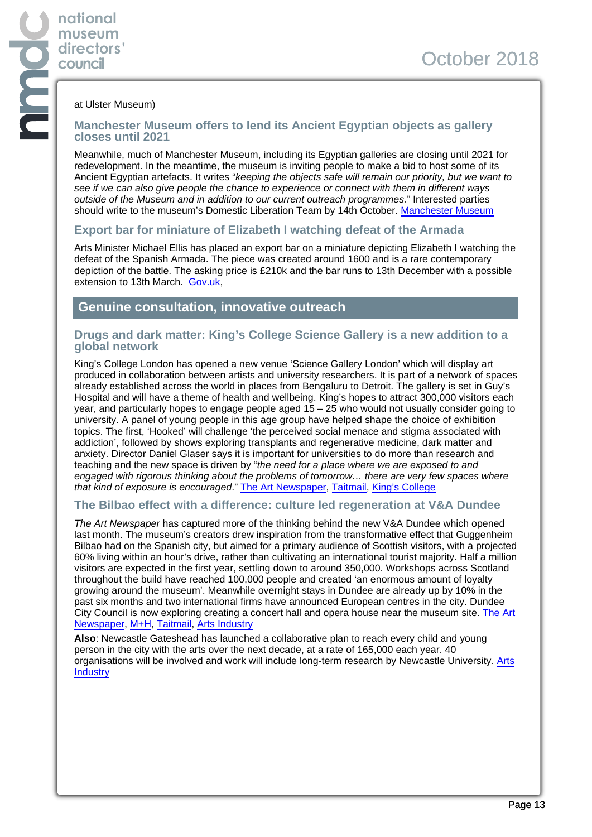#### at Ulster Museum)

**national museum directors' council**

#### **Manchester Museum offers to lend its Ancient Egyptian objects as gallery closes until 2021**

Meanwhile, much of Manchester Museum, including its Egyptian galleries are closing until 2021 for redevelopment. In the meantime, the museum is inviting people to make a bid to host some of its Ancient Egyptian artefacts. It writes "keeping the objects safe will remain our priority, but we want to see if we can also give people the chance to experience or connect with them in different ways outside of the Museum and in addition to our current outreach programmes." Interested parties should write to the museum's Domestic Liberation Team by 14th October. [Manchester Museum](https://mmhellofuture.wordpress.com/2018/09/21/wrapping-things-up/)

#### **Export bar for miniature of Elizabeth I watching defeat of the Armada**

Arts Minister Michael Ellis has placed an export bar on a miniature depicting Elizabeth I watching the defeat of the Spanish Armada. The piece was created around 1600 and is a rare contemporary depiction of the battle. The asking price is £210k and the bar runs to 13th December with a possible extension to 13th March. [Gov.uk](https://www.gov.uk/government/news/rare-16th-century-painting-of-spanish-armada-at-risk-of-export),

#### **Genuine consultation, innovative outreach**

#### **Drugs and dark matter: King's College Science Gallery is a new addition to a global network**

King's College London has opened a new venue 'Science Gallery London' which will display art produced in collaboration between artists and university researchers. It is part of a network of spaces already established across the world in places from Bengaluru to Detroit. The gallery is set in Guy's Hospital and will have a theme of health and wellbeing. King's hopes to attract 300,000 visitors each year, and particularly hopes to engage people aged 15 – 25 who would not usually consider going to university. A panel of young people in this age group have helped shape the choice of exhibition topics. The first, 'Hooked' will challenge 'the perceived social menace and stigma associated with addiction', followed by shows exploring transplants and regenerative medicine, dark matter and anxiety. Director Daniel Glaser says it is important for universities to do more than research and teaching and the new space is driven by "the need for a place where we are exposed to and engaged with rigorous thinking about the problems of tomorrow… there are very few spaces where that kind of exposure is encouraged." [The Art Newspaper](https://www.theartnewspaper.com/news/art-meets-science-at-king-s-college-gallery?utm_source=daily_september19_2018&utm_medium=email&utm_campaign=email_daily&utm_source=The+Art+Newspaper+Newsletters&utm_campaign=c00d99a5a1-EMAIL_CAMPAIGN_2018_09_18_02_39&utm_medium=email&utm_term=0_c459f924d0-c00d99a5a1-61117389), [Taitmail,](https://us18.campaign-archive.com/?u=7505bb43d5911ba7c5dbd0148&id=a654e00633) [King's College](https://www.kcl.ac.uk/ioppn/news/records/2018/september/kings-college-london-opens-science-gallery-with-hooked.aspx)

#### **The Bilbao effect with a difference: culture led regeneration at V&A Dundee**

The Art Newspaper has captured more of the thinking behind the new V&A Dundee which opened last month. The museum's creators drew inspiration from the transformative effect that Guggenheim Bilbao had on the Spanish city, but aimed for a primary audience of Scottish visitors, with a projected 60% living within an hour's drive, rather than cultivating an international tourist majority. Half a million visitors are expected in the first year, settling down to around 350,000. Workshops across Scotland throughout the build have reached 100,000 people and created 'an enormous amount of loyalty growing around the museum'. Meanwhile overnight stays in Dundee are already up by 10% in the past six months and two international firms have announced European centres in the city. Dundee City Council is now exploring creating a concert hall and opera house near the museum site. [The Art](https://www.theartnewspaper.com/news/dundee-s-designs-on-culture-bring-v-and-a-to-scotland?utm_source=daily_september11_2018&utm_medium=email&utm_campaign=email_daily&utm_source=The+Art+Newspaper+Newsletters&utm_campaign=0e4909f5fb-EMAIL_CAMPAIGN_2018_09_10_05_39&utm_medium=email&utm_term=0_c459f924d0-0e4909f5fb-61117389) [Newspaper](https://www.theartnewspaper.com/news/dundee-s-designs-on-culture-bring-v-and-a-to-scotland?utm_source=daily_september11_2018&utm_medium=email&utm_campaign=email_daily&utm_source=The+Art+Newspaper+Newsletters&utm_campaign=0e4909f5fb-EMAIL_CAMPAIGN_2018_09_10_05_39&utm_medium=email&utm_term=0_c459f924d0-0e4909f5fb-61117389), [M+H](https://advisor.museumsandheritage.com/features/va-dundee-opens-public-living-room-city/), [Taitmail,](https://us18.campaign-archive.com/?u=7505bb43d5911ba7c5dbd0148&id=895b0f1cb0) [Arts Industry](https://artsindustry.co.uk/news/1320-dundee-could-follow-up-v-a-with-new-concert-hall)

**Also**: Newcastle Gateshead has launched a collaborative plan to reach every child and young person in the city with the arts over the next decade, at a rate of 165,000 each year. 40 organisations will be involved and work will include long-term research by Newcastle University. [Arts](https://artsindustry.co.uk/news/1322-newcastle-gateshead-plan-to-involve-every-child-in-the-arts) **[Industry](https://artsindustry.co.uk/news/1322-newcastle-gateshead-plan-to-involve-every-child-in-the-arts)**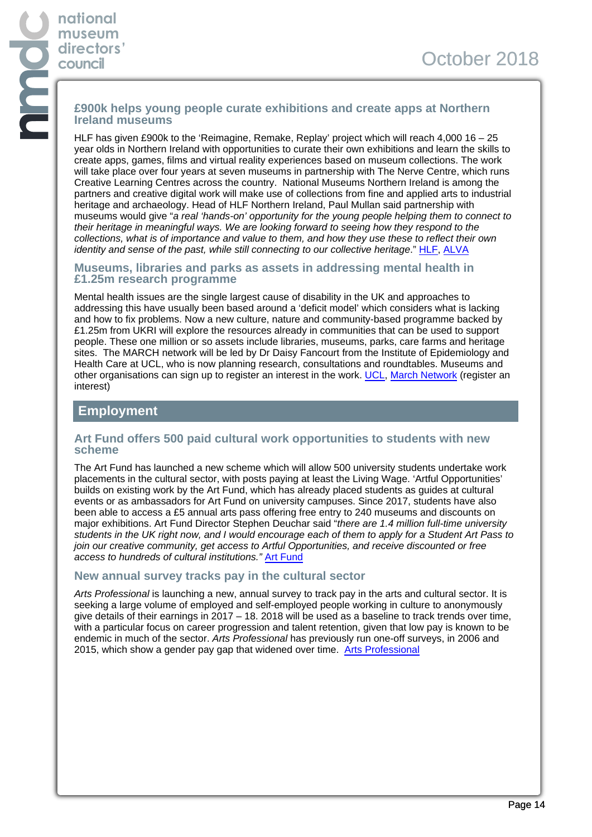## **£900k helps young people curate exhibitions and create apps at Northern Ireland museums**

HLF has given £900k to the 'Reimagine, Remake, Replay' project which will reach 4,000 16 – 25 year olds in Northern Ireland with opportunities to curate their own exhibitions and learn the skills to create apps, games, films and virtual reality experiences based on museum collections. The work will take place over four years at seven museums in partnership with The Nerve Centre, which runs Creative Learning Centres across the country. National Museums Northern Ireland is among the partners and creative digital work will make use of collections from fine and applied arts to industrial heritage and archaeology. Head of HLF Northern Ireland, Paul Mullan said partnership with museums would give "a real 'hands-on' opportunity for the young people helping them to connect to their heritage in meaningful ways. We are looking forward to seeing how they respond to the collections, what is of importance and value to them, and how they use these to reflect their own identity and sense of the past, while still connecting to our collective heritage." [HLF](https://www.hlf.org.uk/about-us/media-centre/press-releases/young-people%E2%80%99s-museum-project-receives-national-lottery-boost), [ALVA](http://www.alva.org.uk/details.cfm?p=413&codeid=339087)

#### **Museums, libraries and parks as assets in addressing mental health in £1.25m research programme**

Mental health issues are the single largest cause of disability in the UK and approaches to addressing this have usually been based around a 'deficit model' which considers what is lacking and how to fix problems. Now a new culture, nature and community-based programme backed by £1.25m from UKRI will explore the resources already in communities that can be used to support people. These one million or so assets include libraries, museums, parks, care farms and heritage sites. The MARCH network will be led by Dr Daisy Fancourt from the Institute of Epidemiology and Health Care at UCL, who is now planning research, consultations and roundtables. Museums and other organisations can sign up to register an interest in the work. [UCL](https://blogs.ucl.ac.uk/iehc/2018/09/05/launching-the-march-network-social-cultural-and-community-assets-for-mental-health/), [March Network](https://www.surveymonkey.com/r/M-ARC-H) (register an interest)

## **Employment**

#### **Art Fund offers 500 paid cultural work opportunities to students with new scheme**

The Art Fund has launched a new scheme which will allow 500 university students undertake work placements in the cultural sector, with posts paying at least the Living Wage. 'Artful Opportunities' builds on existing work by the Art Fund, which has already placed students as guides at cultural events or as ambassadors for Art Fund on university campuses. Since 2017, students have also been able to access a £5 annual arts pass offering free entry to 240 museums and discounts on major exhibitions. Art Fund Director Stephen Deuchar said "there are 1.4 million full-time university students in the UK right now, and I would encourage each of them to apply for a Student Art Pass to join our creative community, get access to Artful Opportunities, and receive discounted or free access to hundreds of cultural institutions." [Art Fund](https://www.artfund.org/news/2018/09/18/student-art-pass-launch-artful-opportunities)

#### **New annual survey tracks pay in the cultural sector**

Arts Professional is launching a new, annual survey to track pay in the arts and cultural sector. It is seeking a large volume of employed and self-employed people working in culture to anonymously give details of their earnings in 2017 – 18. 2018 will be used as a baseline to track trends over time, with a particular focus on career progression and talent retention, given that low pay is known to be endemic in much of the sector. Arts Professional has previously run one-off surveys, in 2006 and 2015, which show a gender pay gap that widened over time. [Arts Professional](https://www.artsprofessional.co.uk/news/research-track-pay-cultural-sector)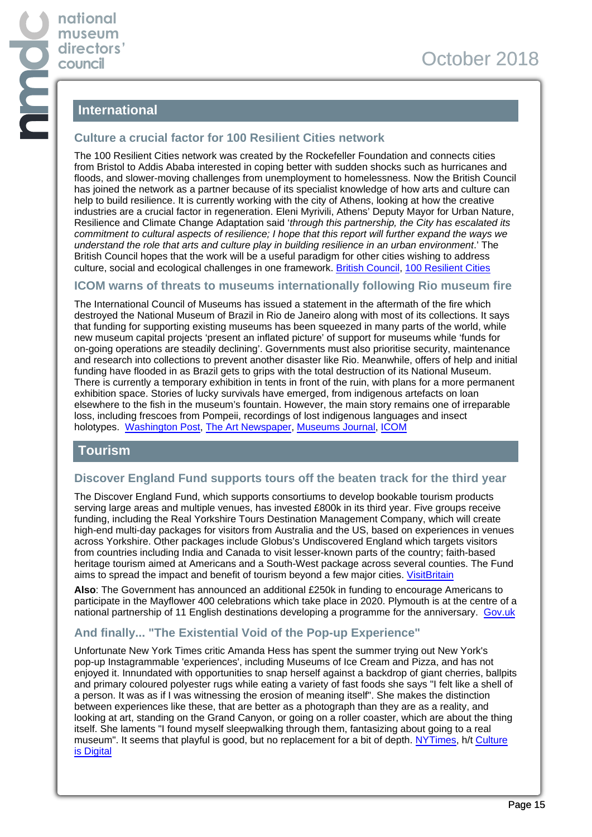# **International**

## **Culture a crucial factor for 100 Resilient Cities network**

The 100 Resilient Cities network was created by the Rockefeller Foundation and connects cities from Bristol to Addis Ababa interested in coping better with sudden shocks such as hurricanes and floods, and slower-moving challenges from unemployment to homelessness. Now the British Council has joined the network as a partner because of its specialist knowledge of how arts and culture can help to build resilience. It is currently working with the city of Athens, looking at how the creative industries are a crucial factor in regeneration. Eleni Myrivili, Athens' Deputy Mayor for Urban Nature, Resilience and Climate Change Adaptation said 'through this partnership, the City has escalated its commitment to cultural aspects of resilience; I hope that this report will further expand the ways we understand the role that arts and culture play in building resilience in an urban environment.' The British Council hopes that the work will be a useful paradigm for other cities wishing to address culture, social and ecological challenges in one framework. [British Council](https://www.britishcouncil.org/organisation/press/british-council-joins-100-resilient-cities-%E2%80%93-pioneered-rockefeller-foundation-support), [100 Resilient Cities](http://www.100resilientcities.org/cities/)

## **ICOM warns of threats to museums internationally following Rio museum fire**

The International Council of Museums has issued a statement in the aftermath of the fire which destroyed the National Museum of Brazil in Rio de Janeiro along with most of its collections. It says that funding for supporting existing museums has been squeezed in many parts of the world, while new museum capital projects 'present an inflated picture' of support for museums while 'funds for on-going operations are steadily declining'. Governments must also prioritise security, maintenance and research into collections to prevent another disaster like Rio. Meanwhile, offers of help and initial funding have flooded in as Brazil gets to grips with the total destruction of its National Museum. There is currently a temporary exhibition in tents in front of the ruin, with plans for a more permanent exhibition space. Stories of lucky survivals have emerged, from indigenous artefacts on loan elsewhere to the fish in the museum's fountain. However, the main story remains one of irreparable loss, including frescoes from Pompeii, recordings of lost indigenous languages and insect holotypes. [Washington Post](https://www.washingtonpost.com/world/the_americas/after-brazil-museum-fire-debate-over-how-or-if-to-rebuild/2018/09/30/c8293ace-c465-11e8-9451-e878f96be19b_story.html?mc_cid=52427bf37e&mc_eid=e75dc56889&utm_term=.9ef7c867fc79), [The Art Newspaper](https://www.theartnewspaper.com/news/national-museum-in-rio-starts-rebuilding-efforts-with-temporary-exhibitions?utm_source=daily_october2_2018&utm_medium=email&utm_campaign=email_daily&utm_source=The+Art+Newspaper+Newsletters&utm_campaign=7239ebe2ee-EMAIL_CAMPAIGN_2018_09_28_06_00&utm_medium=email&utm_term=0_c459f924d0-7239ebe2ee-61117389), [Museums Journal,](https://www.museumsassociation.org/museums-journal/news/21092018-public-funding-cuts-threaten-existence-of-museums) [ICOM](https://icom.museum/en/news/the-reduction-in-public-funds-threatens-the-very-existence-of-museums/)

## **Tourism**

#### **Discover England Fund supports tours off the beaten track for the third year**

The Discover England Fund, which supports consortiums to develop bookable tourism products serving large areas and multiple venues, has invested £800k in its third year. Five groups receive funding, including the Real Yorkshire Tours Destination Management Company, which will create high-end multi-day packages for visitors from Australia and the US, based on experiences in venues across Yorkshire. Other packages include Globus's Undiscovered England which targets visitors from countries including India and Canada to visit lesser-known parts of the country; faith-based heritage tourism aimed at Americans and a South-West package across several counties. The Fund aims to spread the impact and benefit of tourism beyond a few major cities. [VisitBritain](https://www.visitbritain.org/new-projects-chosen-gain-funding-ps40-million-discover-england-fund)

**Also**: The Government has announced an additional £250k in funding to encourage Americans to participate in the Mayflower 400 celebrations which take place in 2020. Plymouth is at the centre of a national partnership of 11 English destinations developing a programme for the anniversary. [Gov.uk](https://www.gov.uk/government/news/government-announces-additional-funding-towards-mayflower-400-commemorations)

## **And finally... "The Existential Void of the Pop-up Experience"**

Unfortunate New York Times critic Amanda Hess has spent the summer trying out New York's pop-up Instagrammable 'experiences', including Museums of Ice Cream and Pizza, and has not enjoyed it. Innundated with opportunities to snap herself against a backdrop of giant cherries, ballpits and primary coloured polyester rugs while eating a variety of fast foods she says "I felt like a shell of a person. It was as if I was witnessing the erosion of meaning itself". She makes the distinction between experiences like these, that are better as a photograph than they are as a reality, and looking at art, standing on the Grand Canyon, or going on a roller coaster, which are about the thing itself. She laments "I found myself sleepwalking through them, fantasizing about going to a real museum". It seems that playful is good, but no replacement for a bit of depth. [NYTimes,](https://www.nytimes.com/2018/09/26/arts/color-factory-museum-of-ice-cream-rose-mansion-29rooms-candytopia.html?utm_source=Cultural+Digital&utm_campaign=2963260e9f-culturaldigital140&utm_medium=email&utm_term=0_f5c318bb03-2963260e9f-149724641) h/t [Culture](https://www.chrisunitt.co.uk/cultural-digital/) [is Digital](https://www.chrisunitt.co.uk/cultural-digital/)